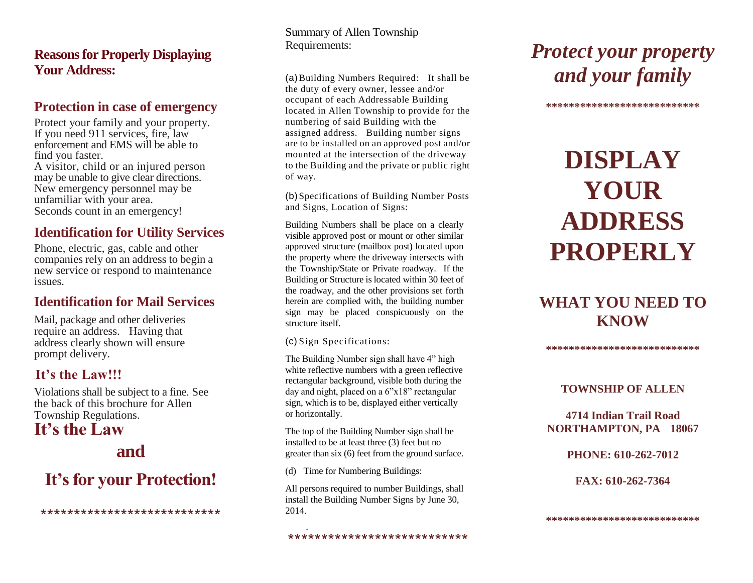## **Reasons for Properly Displaying Your Address:**

## **Protection in case of emergency**

Protect your family and your property. If you need 911 services, fire, law enforcement and EMS will be able to find you faster. A visitor, child or an injured person may be unable to give clear directions. New emergency personnel may be unfamiliar with your area. Seconds count in an emergency!

## **Identification for Utility Services**

Phone, electric, gas, cable and other companies rely on an address to begin a new service or respond to maintenance issues.

## **Identification for Mail Services**

Mail, package and other deliveries require an address. Having that address clearly shown will ensure prompt delivery.

## .**It's the Law!!!**

Violations shall be subject to a fine. See the back of this brochure for Allen Township Regulations.

## **It's the Law**

## **and**

## **It's for your Protection!**

\*\*\*\*\*\*\*\*\*\*\*\*\*\*\*\*\*\*\*\*\*\*\*\*\*\*\*

Summary of Allen Township Requirements:

(a)Building Numbers Required: It shall be the duty of every owner, lessee and/or occupant of each Addressable Building located in Allen Township to provide for the numbering of said Building with the assigned address. Building number signs are to be installed on an approved post and/or mounted at the intersection of the driveway to the Building and the private or public right of way.

(b) Specifications of Building Number Posts and Signs, Location of Signs:

Building Numbers shall be place on a clearly visible approved post or mount or other similar approved structure (mailbox post) located upon the property where the driveway intersects with the Township/State or Private roadway. If the Building or Structure is located within 30 feet of the roadway, and the other provisions set forth herein are complied with, the building number sign may be placed conspicuously on the structure itself.

(c) Sign Specifications:

The Building Number sign shall have 4" high white reflective numbers with a green reflective rectangular background, visible both during the day and night, placed on a 6"x18" rectangular sign, which is to be, displayed either vertically or horizontally.

The top of the Building Number sign shall be installed to be at least three (3) feet but no greater than six (6) feet from the ground surface.

(d) Time for Numbering Buildings:

.

All persons required to number Buildings, shall install the Building Number Signs by June 30, 2014.

\*\*\*\*\*\*\*\*\*\*\*\*\*\*\*\*\*\*\*\*\*\*\*\*\*\*\*

*Protect your property and your family*

\*\*\*\*\*\*\*\*\*\*\*\*\*\*\*\*\*\*\*\*\*\*\*\*

# **DISPLAY YOUR ADDRESS PROPERLY**

## **WHAT YOU NEED TO KNOW**

**\*\*\*\*\*\*\*\*\*\*\*\*\*\*\*\*\*\*\*\*\*\*\*\*\*\*\***

#### **TOWNSHIP OF ALLEN**

#### **4714 Indian Trail Road NORTHAMPTON, PA 18067**

**PHONE: 610-262-7012**

**FAX: 610-262-7364**

**\*\*\*\*\*\*\*\*\*\*\*\*\*\*\*\*\*\*\*\*\*\*\*\*\*\*\***